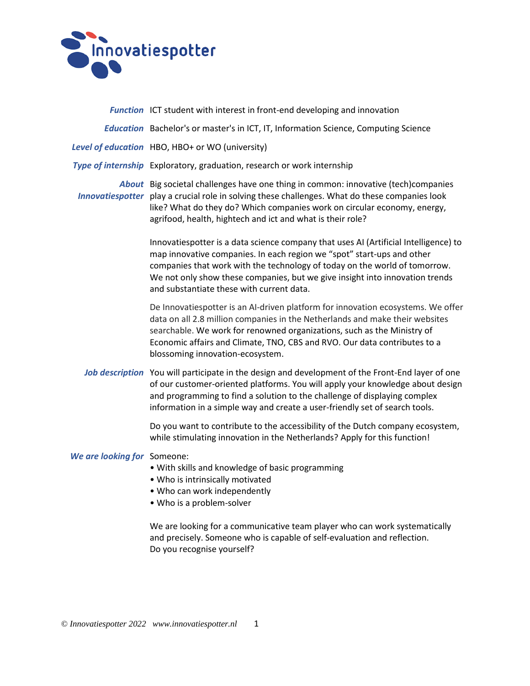

|                             | <b>Function</b> ICT student with interest in front-end developing and innovation                                                                                                                                                                                                                                                                                          |
|-----------------------------|---------------------------------------------------------------------------------------------------------------------------------------------------------------------------------------------------------------------------------------------------------------------------------------------------------------------------------------------------------------------------|
|                             | <b>Education</b> Bachelor's or master's in ICT, IT, Information Science, Computing Science                                                                                                                                                                                                                                                                                |
|                             | Level of education HBO, HBO+ or WO (university)                                                                                                                                                                                                                                                                                                                           |
|                             | Type of internship Exploratory, graduation, research or work internship                                                                                                                                                                                                                                                                                                   |
|                             | About Big societal challenges have one thing in common: innovative (tech)companies<br>Innovatiespotter play a crucial role in solving these challenges. What do these companies look<br>like? What do they do? Which companies work on circular economy, energy,<br>agrifood, health, hightech and ict and what is their role?                                            |
|                             | Innovatiespotter is a data science company that uses AI (Artificial Intelligence) to<br>map innovative companies. In each region we "spot" start-ups and other<br>companies that work with the technology of today on the world of tomorrow.<br>We not only show these companies, but we give insight into innovation trends<br>and substantiate these with current data. |
|                             | De Innovatiespotter is an AI-driven platform for innovation ecosystems. We offer<br>data on all 2.8 million companies in the Netherlands and make their websites<br>searchable. We work for renowned organizations, such as the Ministry of<br>Economic affairs and Climate, TNO, CBS and RVO. Our data contributes to a<br>blossoming innovation-ecosystem.              |
|                             | Job description You will participate in the design and development of the Front-End layer of one<br>of our customer-oriented platforms. You will apply your knowledge about design<br>and programming to find a solution to the challenge of displaying complex<br>information in a simple way and create a user-friendly set of search tools.                            |
|                             | Do you want to contribute to the accessibility of the Dutch company ecosystem,<br>while stimulating innovation in the Netherlands? Apply for this function!                                                                                                                                                                                                               |
| We are looking for Someone: | . With skills and knowledge of basic programming<br>. Who is intrinsically motivated<br>• Who can work independently<br>• Who is a problem-solver                                                                                                                                                                                                                         |
|                             | We are looking for a communicative team player who can work systematically<br>and precisely. Someone who is capable of self-evaluation and reflection.<br>Do you recognise yourself?                                                                                                                                                                                      |
|                             |                                                                                                                                                                                                                                                                                                                                                                           |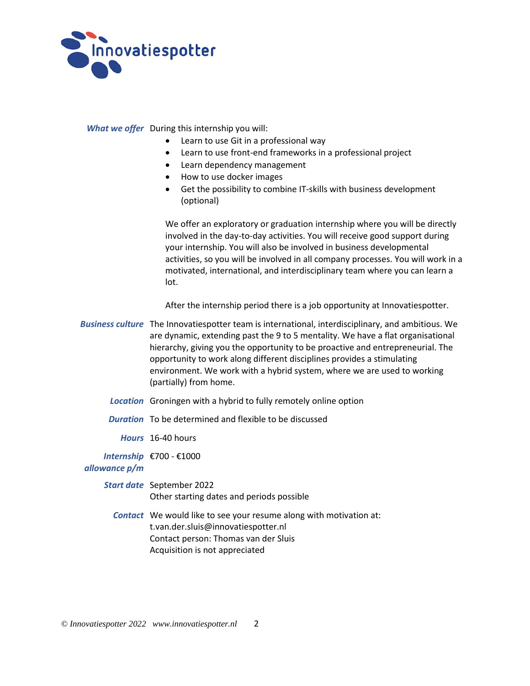

*What we offer* During this internship you will:

- Learn to use Git in a professional way
- Learn to use front-end frameworks in a professional project
- Learn dependency management
- How to use docker images
- Get the possibility to combine IT-skills with business development (optional)

We offer an exploratory or graduation internship where you will be directly involved in the day-to-day activities. You will receive good support during your internship. You will also be involved in business developmental activities, so you will be involved in all company processes. You will work in a motivated, international, and interdisciplinary team where you can learn a lot.

After the internship period there is a job opportunity at Innovatiespotter.

*Business culture* The Innovatiespotter team is international, interdisciplinary, and ambitious. We are dynamic, extending past the 9 to 5 mentality. We have a flat organisational hierarchy, giving you the opportunity to be proactive and entrepreneurial. The opportunity to work along different disciplines provides a stimulating environment. We work with a hybrid system, where we are used to working (partially) from home.

- *Location* Groningen with a hybrid to fully remotely online option
- *Duration* To be determined and flexible to be discussed
	- *Hours* 16-40 hours
- *Internship*  €700 €1000

## *allowance p/m*

- *Start date* September 2022 Other starting dates and periods possible
	- *Contact* We would like to see your resume along with motivation at: t.van.der.sluis@innovatiespotter.nl Contact person: Thomas van der Sluis Acquisition is not appreciated